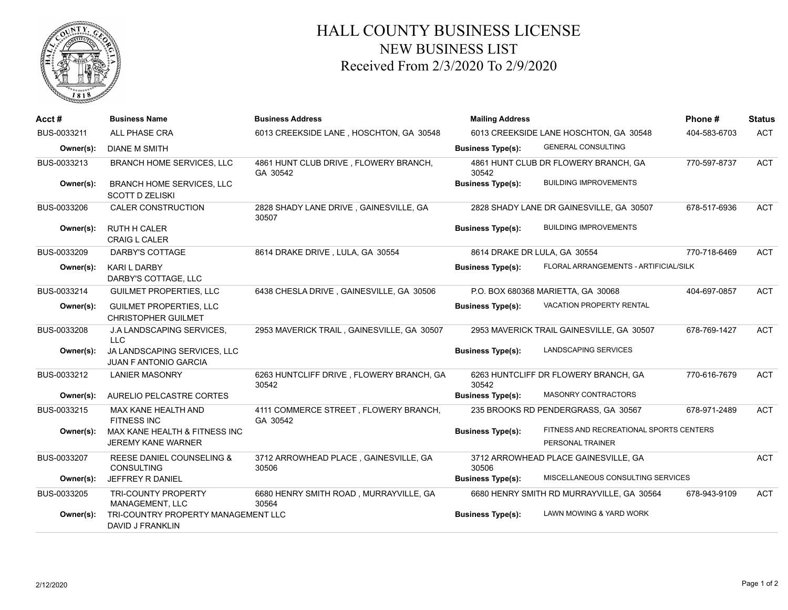

## HALL COUNTY BUSINESS LICENSE NEW BUSINESS LIST Received From 2/3/2020 To 2/9/2020

| Acct#       | <b>Business Name</b>                                         | <b>Business Address</b>                           | <b>Mailing Address</b>       |                                                             | Phone#       | <b>Status</b> |
|-------------|--------------------------------------------------------------|---------------------------------------------------|------------------------------|-------------------------------------------------------------|--------------|---------------|
| BUS-0033211 | <b>ALL PHASE CRA</b>                                         | 6013 CREEKSIDE LANE, HOSCHTON, GA 30548           |                              | 6013 CREEKSIDE LANE HOSCHTON, GA 30548                      | 404-583-6703 | <b>ACT</b>    |
| Owner(s):   | <b>DIANE M SMITH</b>                                         |                                                   | <b>Business Type(s):</b>     | <b>GENERAL CONSULTING</b>                                   |              |               |
| BUS-0033213 | <b>BRANCH HOME SERVICES, LLC</b>                             | 4861 HUNT CLUB DRIVE, FLOWERY BRANCH,<br>GA 30542 | 30542                        | 4861 HUNT CLUB DR FLOWERY BRANCH, GA                        | 770-597-8737 | <b>ACT</b>    |
| Owner(s):   | <b>BRANCH HOME SERVICES, LLC</b><br><b>SCOTT D ZELISKI</b>   |                                                   | <b>Business Type(s):</b>     | <b>BUILDING IMPROVEMENTS</b>                                |              |               |
| BUS-0033206 | <b>CALER CONSTRUCTION</b>                                    | 2828 SHADY LANE DRIVE, GAINESVILLE, GA<br>30507   |                              | 2828 SHADY LANE DR GAINESVILLE, GA 30507                    | 678-517-6936 | <b>ACT</b>    |
| Owner(s):   | <b>RUTH H CALER</b><br><b>CRAIG L CALER</b>                  |                                                   | <b>Business Type(s):</b>     | <b>BUILDING IMPROVEMENTS</b>                                |              |               |
| BUS-0033209 | DARBY'S COTTAGE                                              | 8614 DRAKE DRIVE, LULA, GA 30554                  | 8614 DRAKE DR LULA, GA 30554 |                                                             | 770-718-6469 | <b>ACT</b>    |
| Owner(s):   | <b>KARI L DARBY</b><br>DARBY'S COTTAGE, LLC                  |                                                   | <b>Business Type(s):</b>     | FLORAL ARRANGEMENTS - ARTIFICIAL/SILK                       |              |               |
| BUS-0033214 | <b>GUILMET PROPERTIES, LLC</b>                               | 6438 CHESLA DRIVE, GAINESVILLE, GA 30506          |                              | P.O. BOX 680368 MARIETTA, GA 30068                          | 404-697-0857 | <b>ACT</b>    |
| Owner(s):   | <b>GUILMET PROPERTIES, LLC</b><br><b>CHRISTOPHER GUILMET</b> |                                                   | <b>Business Type(s):</b>     | VACATION PROPERTY RENTAL                                    |              |               |
| BUS-0033208 | J.A LANDSCAPING SERVICES,<br><b>LLC</b>                      | 2953 MAVERICK TRAIL, GAINESVILLE, GA 30507        |                              | 2953 MAVERICK TRAIL GAINESVILLE, GA 30507                   | 678-769-1427 | <b>ACT</b>    |
| Owner(s):   | JA LANDSCAPING SERVICES, LLC<br><b>JUAN F ANTONIO GARCIA</b> |                                                   | <b>Business Type(s):</b>     | <b>LANDSCAPING SERVICES</b>                                 |              |               |
| BUS-0033212 | <b>LANIER MASONRY</b>                                        | 6263 HUNTCLIFF DRIVE, FLOWERY BRANCH, GA<br>30542 | 30542                        | 6263 HUNTCLIFF DR FLOWERY BRANCH, GA                        | 770-616-7679 | <b>ACT</b>    |
| Owner(s):   | AURELIO PELCASTRE CORTES                                     |                                                   | <b>Business Type(s):</b>     | <b>MASONRY CONTRACTORS</b>                                  |              |               |
| BUS-0033215 | MAX KANE HEALTH AND<br><b>FITNESS INC</b>                    | 4111 COMMERCE STREET, FLOWERY BRANCH,<br>GA 30542 |                              | 235 BROOKS RD PENDERGRASS, GA 30567                         | 678-971-2489 | <b>ACT</b>    |
| Owner(s):   | MAX KANE HEALTH & FITNESS INC<br><b>JEREMY KANE WARNER</b>   |                                                   | <b>Business Type(s):</b>     | FITNESS AND RECREATIONAL SPORTS CENTERS<br>PERSONAL TRAINER |              |               |
| BUS-0033207 | <b>REESE DANIEL COUNSELING &amp;</b><br><b>CONSULTING</b>    | 3712 ARROWHEAD PLACE, GAINESVILLE, GA<br>30506    | 30506                        | 3712 ARROWHEAD PLACE GAINESVILLE, GA                        |              | <b>ACT</b>    |
| Owner(s):   | JEFFREY R DANIEL                                             |                                                   | <b>Business Type(s):</b>     | MISCELLANEOUS CONSULTING SERVICES                           |              |               |
| BUS-0033205 | <b>TRI-COUNTY PROPERTY</b><br>MANAGEMENT, LLC                | 6680 HENRY SMITH ROAD, MURRAYVILLE, GA<br>30564   |                              | 6680 HENRY SMITH RD MURRAYVILLE, GA 30564                   | 678-943-9109 | <b>ACT</b>    |
| Owner(s):   | TRI-COUNTRY PROPERTY MANAGEMENT LLC<br>DAVID J FRANKLIN      |                                                   | <b>Business Type(s):</b>     | <b>LAWN MOWING &amp; YARD WORK</b>                          |              |               |